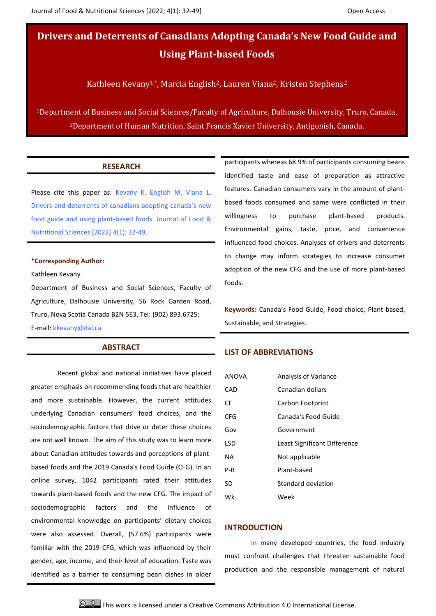**Drivers and Deterrents of Canadians Adopting Canada's New Food Guide and Using Plant-based Foods**

Kathleen Kevany<sup>1,\*</sup>, Marcia English<sup>2</sup>, Lauren Viana<sup>2</sup>, Kristen Stephens<sup>2</sup>

<sup>1</sup>Department of Business and Social Sciences/Faculty of Agriculture, Dalhousie University, Truro, Canada. <sup>2</sup>Department of Human Nutrition, Saint Francis Xavier University, Antigonish, Canada.

## **RESEARCH**

Please cite this paper as: Kevany K, English M, Viana L. Drivers and deterrents of canadians adopting canada's new food guide and using plant-based foods. Journal of Food & Nutritional Sciences [2022] 4(1): 32-49.

#### **\*Corresponding Author:**

Kathleen Kevany

Department of Business and Social Sciences, Faculty of Agriculture, Dalhousie University, 56 Rock Garden Road, Truro, Nova Scotia Canada B2N 5E3, Tel: (902) 893.6725; E-mail: kkevany@dal.ca

## **ABSTRACT**

Recent global and national initiatives have placed greater emphasis on recommending foods that are healthier and more sustainable. However, the current attitudes underlying Canadian consumers' food choices, and the sociodemographic factors that drive or deter these choices are not well known. The aim of this study was to learn more about Canadian attitudes towards and perceptions of plantbased foods and the 2019 Canada's Food Guide (CFG). In an online survey, 1042 participants rated their attitudes towards plant-based foods and the new CFG. The impact of sociodemographic factors and the influence of environmental knowledge on participants' dietary choices were also assessed. Overall, (57.6%) participants were familiar with the 2019 CFG, which was influenced by their gender, age, income, and their level of education. Taste was identified as a barrier to consuming bean dishes in older

participants whereas 68.9% of participants consuming beans identified taste and ease of preparation as attractive features. Canadian consumers vary in the amount of plantbased foods consumed and some were conflicted in their willingness to purchase plant-based products. Environmental gains, taste, price, and convenience influenced food choices. Analyses of drivers and deterrents to change may inform strategies to increase consumer adoption of the new CFG and the use of more plant-based foods.

**Keywords:** Canada's Food Guide, Food choice, Plant-based, Sustainable, and Strategies.

#### **LIST OF ABBREVIATIONS**

| ANOVA      | <b>Analysis of Variance</b>  |
|------------|------------------------------|
| CAD        | Canadian dollars             |
| CF.        | Carbon Footprint             |
| CFG        | Canada's Food Guide          |
| Gov        | Government                   |
| <b>LSD</b> | Least Significant Difference |
| ΝA         | Not applicable               |
| $P - B$    | Plant-based                  |
| SD         | Standard deviation           |
| Wk         | Week                         |

#### **INTRODUCTION**

In many developed countries, the food industry must confront challenges that threaten sustainable food production and the responsible management of natural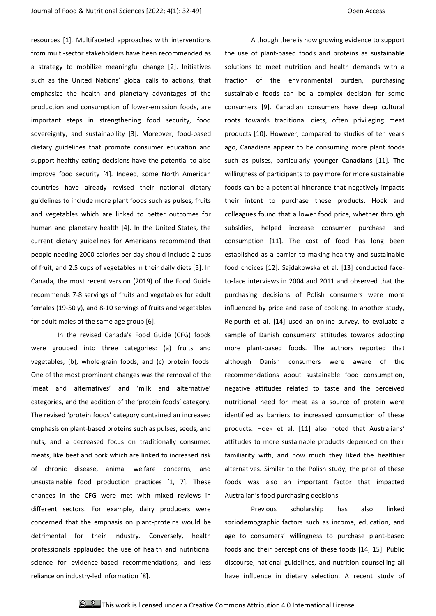resources [1]. Multifaceted approaches with interventions from multi-sector stakeholders have been recommended as a strategy to mobilize meaningful change [2]. Initiatives such as the United Nations' global calls to actions, that emphasize the health and planetary advantages of the production and consumption of lower-emission foods, are important steps in strengthening food security, food sovereignty, and sustainability [3]. Moreover, food-based dietary guidelines that promote consumer education and support healthy eating decisions have the potential to also improve food security [4]. Indeed, some North American countries have already revised their national dietary guidelines to include more plant foods such as pulses, fruits and vegetables which are linked to better outcomes for human and planetary health [4]. In the United States, the current dietary guidelines for Americans recommend that people needing 2000 calories per day should include 2 cups of fruit, and 2.5 cups of vegetables in their daily diets [5]. In Canada, the most recent version (2019) of the Food Guide recommends 7-8 servings of fruits and vegetables for adult females (19-50 y), and 8-10 servings of fruits and vegetables for adult males of the same age group [6].

In the revised Canada's Food Guide (CFG) foods were grouped into three categories: (a) fruits and vegetables, (b), whole-grain foods, and (c) protein foods. One of the most prominent changes was the removal of the 'meat and alternatives' and 'milk and alternative' categories, and the addition of the 'protein foods' category. The revised 'protein foods' category contained an increased emphasis on plant-based proteins such as pulses, seeds, and nuts, and a decreased focus on traditionally consumed meats, like beef and pork which are linked to increased risk of chronic disease, animal welfare concerns, and unsustainable food production practices [1, 7]. These changes in the CFG were met with mixed reviews in different sectors. For example, dairy producers were concerned that the emphasis on plant-proteins would be detrimental for their industry. Conversely, health professionals applauded the use of health and nutritional science for evidence-based recommendations, and less reliance on industry-led information [8].

Although there is now growing evidence to support the use of plant-based foods and proteins as sustainable solutions to meet nutrition and health demands with a fraction of the environmental burden, purchasing sustainable foods can be a complex decision for some consumers [9]. Canadian consumers have deep cultural roots towards traditional diets, often privileging meat products [10]. However, compared to studies of ten years ago, Canadians appear to be consuming more plant foods such as pulses, particularly younger Canadians [11]. The willingness of participants to pay more for more sustainable foods can be a potential hindrance that negatively impacts their intent to purchase these products. Hoek and colleagues found that a lower food price, whether through subsidies, helped increase consumer purchase and consumption [11]. The cost of food has long been established as a barrier to making healthy and sustainable food choices [12]. Sajdakowska et al. [13] conducted faceto-face interviews in 2004 and 2011 and observed that the purchasing decisions of Polish consumers were more influenced by price and ease of cooking. In another study, Reipurth et al. [14] used an online survey, to evaluate a sample of Danish consumers' attitudes towards adopting more plant-based foods. The authors reported that although Danish consumers were aware of the recommendations about sustainable food consumption, negative attitudes related to taste and the perceived nutritional need for meat as a source of protein were identified as barriers to increased consumption of these products. Hoek et al. [11] also noted that Australians' attitudes to more sustainable products depended on their familiarity with, and how much they liked the healthier alternatives. Similar to the Polish study, the price of these foods was also an important factor that impacted Australian's food purchasing decisions.

Previous scholarship has also linked sociodemographic factors such as income, education, and age to consumers' willingness to purchase plant-based foods and their perceptions of these foods [14, 15]. Public discourse, national guidelines, and nutrition counselling all have influence in dietary selection. A recent study of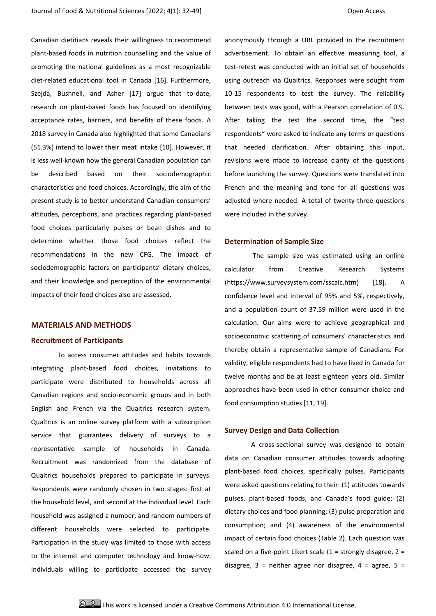Canadian dietitians reveals their willingness to recommend plant-based foods in nutrition counselling and the value of promoting the national guidelines as a most recognizable diet-related educational tool in Canada [16]. Furthermore, Szejda, Bushnell, and Asher [17] argue that to-date, research on plant-based foods has focused on identifying acceptance rates, barriers, and benefits of these foods. A 2018 survey in Canada also highlighted that some Canadians (51.3%) intend to lower their meat intake [10]. However, it is less well-known how the general Canadian population can be described based on their sociodemographic characteristics and food choices. Accordingly, the aim of the present study is to better understand Canadian consumers' attitudes, perceptions, and practices regarding plant-based food choices particularly pulses or bean dishes and to determine whether those food choices reflect the recommendations in the new CFG. The impact of sociodemographic factors on participants' dietary choices, and their knowledge and perception of the environmental impacts of their food choices also are assessed.

### **MATERIALS AND METHODS**

#### **Recruitment of Participants**

To access consumer attitudes and habits towards integrating plant-based food choices, invitations to participate were distributed to households across all Canadian regions and socio-economic groups and in both English and French via the Qualtrics research system. Qualtrics is an online survey platform with a subscription service that guarantees delivery of surveys to a representative sample of households in Canada. Recruitment was randomized from the database of Qualtrics households prepared to participate in surveys. Respondents were randomly chosen in two stages: first at the household level, and second at the individual level. Each household was assigned a number, and random numbers of different households were selected to participate. Participation in the study was limited to those with access to the internet and computer technology and know-how. Individuals willing to participate accessed the survey anonymously through a URL provided in the recruitment advertisement. To obtain an effective measuring tool, a test-retest was conducted with an initial set of households using outreach via Qualtrics. Responses were sought from 10-15 respondents to test the survey. The reliability between tests was good, with a Pearson correlation of 0.9. After taking the test the second time, the "test respondents" were asked to indicate any terms or questions that needed clarification. After obtaining this input, revisions were made to increase clarity of the questions before launching the survey. Questions were translated into French and the meaning and tone for all questions was adjusted where needed. A total of twenty-three questions were included in the survey.

#### **Determination of Sample Size**

The sample size was estimated using an online calculator from Creative Research Systems (https://www.surveysystem.com/sscalc.htm) [18]. A confidence level and interval of 95% and 5%, respectively, and a population count of 37.59 million were used in the calculation. Our aims were to achieve geographical and socioeconomic scattering of consumers' characteristics and thereby obtain a representative sample of Canadians. For validity, eligible respondents had to have lived in Canada for twelve months and be at least eighteen years old. Similar approaches have been used in other consumer choice and food consumption studies [11, 19].

#### **Survey Design and Data Collection**

A cross-sectional survey was designed to obtain data on Canadian consumer attitudes towards adopting plant-based food choices, specifically pulses. Participants were asked questions relating to their: (1) attitudes towards pulses, plant-based foods, and Canada's food guide; (2) dietary choices and food planning; (3) pulse preparation and consumption; and (4) awareness of the environmental impact of certain food choices (Table 2). Each question was scaled on a five-point Likert scale  $(1 =$  strongly disagree,  $2 =$ disagree,  $3$  = neither agree nor disagree,  $4$  = agree,  $5$  =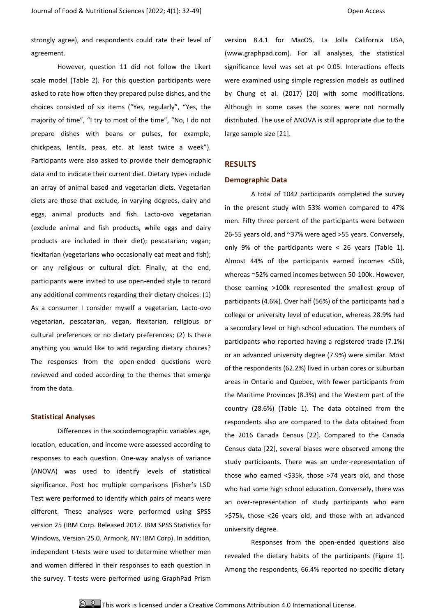strongly agree), and respondents could rate their level of agreement.

However, question 11 did not follow the Likert scale model (Table 2). For this question participants were asked to rate how often they prepared pulse dishes, and the choices consisted of six items ("Yes, regularly", "Yes, the majority of time", "I try to most of the time", "No, I do not prepare dishes with beans or pulses, for example, chickpeas, lentils, peas, etc. at least twice a week"). Participants were also asked to provide their demographic data and to indicate their current diet. Dietary types include an array of animal based and vegetarian diets. Vegetarian diets are those that exclude, in varying degrees, dairy and eggs, animal products and fish. Lacto-ovo vegetarian (exclude animal and fish products, while eggs and dairy products are included in their diet); pescatarian; vegan; flexitarian (vegetarians who occasionally eat meat and fish); or any religious or cultural diet. Finally, at the end, participants were invited to use open-ended style to record any additional comments regarding their dietary choices: (1) As a consumer I consider myself a vegetarian, Lacto-ovo vegetarian, pescatarian, vegan, flexitarian, religious or cultural preferences or no dietary preferences; (2) Is there anything you would like to add regarding dietary choices? The responses from the open-ended questions were reviewed and coded according to the themes that emerge from the data.

### **Statistical Analyses**

Differences in the sociodemographic variables age, location, education, and income were assessed according to responses to each question. One-way analysis of variance (ANOVA) was used to identify levels of statistical significance. Post hoc multiple comparisons (Fisher's LSD Test were performed to identify which pairs of means were different. These analyses were performed using SPSS version 25 (IBM Corp. Released 2017. IBM SPSS Statistics for Windows, Version 25.0. Armonk, NY: IBM Corp). In addition, independent t-tests were used to determine whether men and women differed in their responses to each question in the survey. T-tests were performed using GraphPad Prism

version 8.4.1 for MacOS, La Jolla California USA, (www.graphpad.com). For all analyses, the statistical significance level was set at p< 0.05. Interactions effects were examined using simple regression models as outlined by Chung et al. (2017) [20] with some modifications. Although in some cases the scores were not normally distributed. The use of ANOVA is still appropriate due to the large sample size [21].

## **RESULTS**

#### **Demographic Data**

A total of 1042 participants completed the survey in the present study with 53% women compared to 47% men. Fifty three percent of the participants were between 26-55 years old, and ~37% were aged >55 years. Conversely, only 9% of the participants were < 26 years (Table 1). Almost 44% of the participants earned incomes <50k, whereas ~52% earned incomes between 50-100k. However, those earning >100k represented the smallest group of participants (4.6%). Over half (56%) of the participants had a college or university level of education, whereas 28.9% had a secondary level or high school education. The numbers of participants who reported having a registered trade (7.1%) or an advanced university degree (7.9%) were similar. Most of the respondents (62.2%) lived in urban cores or suburban areas in Ontario and Quebec, with fewer participants from the Maritime Provinces (8.3%) and the Western part of the country (28.6%) (Table 1). The data obtained from the respondents also are compared to the data obtained from the 2016 Canada Census [22]. Compared to the Canada Census data [22], several biases were observed among the study participants. There was an under-representation of those who earned <\$35k, those >74 years old, and those who had some high school education. Conversely, there was an over-representation of study participants who earn >\$75k, those <26 years old, and those with an advanced university degree.

Responses from the open-ended questions also revealed the dietary habits of the participants (Figure 1). Among the respondents, 66.4% reported no specific dietary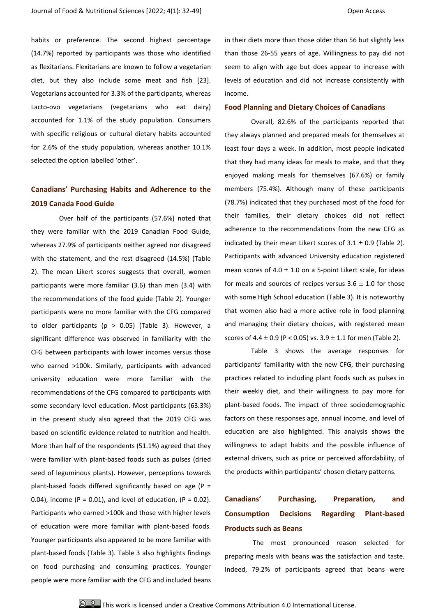habits or preference. The second highest percentage (14.7%) reported by participants was those who identified as flexitarians. Flexitarians are known to follow a vegetarian diet, but they also include some meat and fish [23]. Vegetarians accounted for 3.3% of the participants, whereas Lacto-ovo vegetarians (vegetarians who eat dairy) accounted for 1.1% of the study population. Consumers with specific religious or cultural dietary habits accounted for 2.6% of the study population, whereas another 10.1% selected the option labelled 'other'.

# **Canadians' Purchasing Habits and Adherence to the 2019 Canada Food Guide**

Over half of the participants (57.6%) noted that they were familiar with the 2019 Canadian Food Guide, whereas 27.9% of participants neither agreed nor disagreed with the statement, and the rest disagreed (14.5%) (Table 2). The mean Likert scores suggests that overall, women participants were more familiar (3.6) than men (3.4) with the recommendations of the food guide (Table 2). Younger participants were no more familiar with the CFG compared to older participants ( $p > 0.05$ ) (Table 3). However, a significant difference was observed in familiarity with the CFG between participants with lower incomes versus those who earned >100k. Similarly, participants with advanced university education were more familiar with the recommendations of the CFG compared to participants with some secondary level education. Most participants (63.3%) in the present study also agreed that the 2019 CFG was based on scientific evidence related to nutrition and health. More than half of the respondents (51.1%) agreed that they were familiar with plant-based foods such as pulses (dried seed of leguminous plants). However, perceptions towards plant-based foods differed significantly based on age ( $P =$ 0.04), income ( $P = 0.01$ ), and level of education, ( $P = 0.02$ ). Participants who earned >100k and those with higher levels of education were more familiar with plant-based foods. Younger participants also appeared to be more familiar with plant-based foods (Table 3). Table 3 also highlights findings on food purchasing and consuming practices. Younger people were more familiar with the CFG and included beans

in their diets more than those older than 56 but slightly less than those 26-55 years of age. Willingness to pay did not seem to align with age but does appear to increase with levels of education and did not increase consistently with income.

## **Food Planning and Dietary Choices of Canadians**

Overall, 82.6% of the participants reported that they always planned and prepared meals for themselves at least four days a week. In addition, most people indicated that they had many ideas for meals to make, and that they enjoyed making meals for themselves (67.6%) or family members (75.4%). Although many of these participants (78.7%) indicated that they purchased most of the food for their families, their dietary choices did not reflect adherence to the recommendations from the new CFG as indicated by their mean Likert scores of  $3.1 \pm 0.9$  (Table 2). Participants with advanced University education registered mean scores of 4.0  $\pm$  1.0 on a 5-point Likert scale, for ideas for meals and sources of recipes versus  $3.6 \pm 1.0$  for those with some High School education (Table 3). It is noteworthy that women also had a more active role in food planning and managing their dietary choices, with registered mean scores of  $4.4 \pm 0.9$  (P < 0.05) vs.  $3.9 \pm 1.1$  for men (Table 2).

Table 3 shows the average responses for participants' familiarity with the new CFG, their purchasing practices related to including plant foods such as pulses in their weekly diet, and their willingness to pay more for plant-based foods. The impact of three sociodemographic factors on these responses age, annual income, and level of education are also highlighted. This analysis shows the willingness to adapt habits and the possible influence of external drivers, such as price or perceived affordability, of the products within participants' chosen dietary patterns.

# **Canadians' Purchasing, Preparation, and Consumption Decisions Regarding Plant-based Products such as Beans**

The most pronounced reason selected for preparing meals with beans was the satisfaction and taste. Indeed, 79.2% of participants agreed that beans were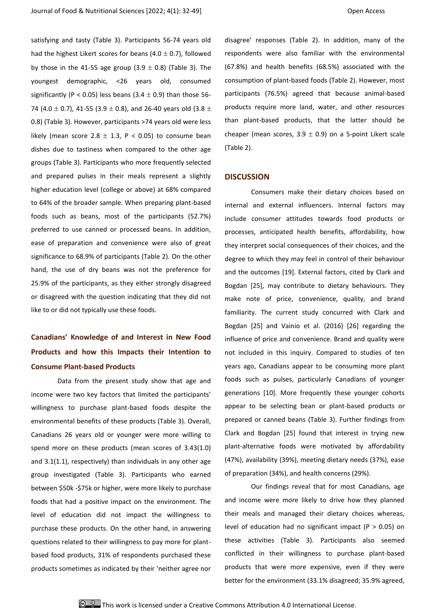satisfying and tasty (Table 3). Participants 56-74 years old had the highest Likert scores for beans  $(4.0 \pm 0.7)$ , followed by those in the 41-55 age group  $(3.9 \pm 0.8)$  (Table 3). The youngest demographic, <26 years old, consumed significantly (P < 0.05) less beans (3.4  $\pm$  0.9) than those 56-74 (4.0  $\pm$  0.7), 41-55 (3.9  $\pm$  0.8), and 26-40 years old (3.8  $\pm$ 0.8) (Table 3). However, participants >74 years old were less likely (mean score 2.8  $\pm$  1.3, P < 0.05) to consume bean dishes due to tastiness when compared to the other age groups (Table 3). Participants who more frequently selected and prepared pulses in their meals represent a slightly higher education level (college or above) at 68% compared to 64% of the broader sample. When preparing plant-based foods such as beans, most of the participants (52.7%) preferred to use canned or processed beans. In addition, ease of preparation and convenience were also of great significance to 68.9% of participants (Table 2). On the other hand, the use of dry beans was not the preference for 25.9% of the participants, as they either strongly disagreed or disagreed with the question indicating that they did not like to or did not typically use these foods.

# **Canadians' Knowledge of and Interest in New Food Products and how this Impacts their Intention to Consume Plant-based Products**

Data from the present study show that age and income were two key factors that limited the participants' willingness to purchase plant-based foods despite the environmental benefits of these products (Table 3). Overall, Canadians 26 years old or younger were more willing to spend more on these products (mean scores of 3.43(1.0) and 3.1(1.1), respectively) than individuals in any other age group investigated (Table 3). Participants who earned between \$50k -\$75k or higher, were more likely to purchase foods that had a positive impact on the environment. The level of education did not impact the willingness to purchase these products. On the other hand, in answering questions related to their willingness to pay more for plantbased food products, 31% of respondents purchased these products sometimes as indicated by their 'neither agree nor

disagree' responses (Table 2). In addition, many of the respondents were also familiar with the environmental (67.8%) and health benefits (68.5%) associated with the consumption of plant-based foods (Table 2). However, most participants (76.5%) agreed that because animal-based products require more land, water, and other resources than plant-based products, that the latter should be cheaper (mean scores,  $3.9 \pm 0.9$ ) on a 5-point Likert scale (Table 2).

#### **DISCUSSION**

Consumers make their dietary choices based on internal and external influencers. Internal factors may include consumer attitudes towards food products or processes, anticipated health benefits, affordability, how they interpret social consequences of their choices, and the degree to which they may feel in control of their behaviour and the outcomes [19]. External factors, cited by Clark and Bogdan [25], may contribute to dietary behaviours. They make note of price, convenience, quality, and brand familiarity. The current study concurred with Clark and Bogdan [25] and Vainio et al. (2016) [26] regarding the influence of price and convenience. Brand and quality were not included in this inquiry. Compared to studies of ten years ago, Canadians appear to be consuming more plant foods such as pulses, particularly Canadians of younger generations [10]. More frequently these younger cohorts appear to be selecting bean or plant-based products or prepared or canned beans (Table 3). Further findings from Clark and Bogdan [25] found that interest in trying new plant-alternative foods were motivated by affordability (47%), availability (39%), meeting dietary needs (37%), ease of preparation (34%), and health concerns (29%).

Our findings reveal that for most Canadians, age and income were more likely to drive how they planned their meals and managed their dietary choices whereas, level of education had no significant impact ( $P > 0.05$ ) on these activities (Table 3). Participants also seemed conflicted in their willingness to purchase plant-based products that were more expensive, even if they were better for the environment (33.1% disagreed; 35.9% agreed,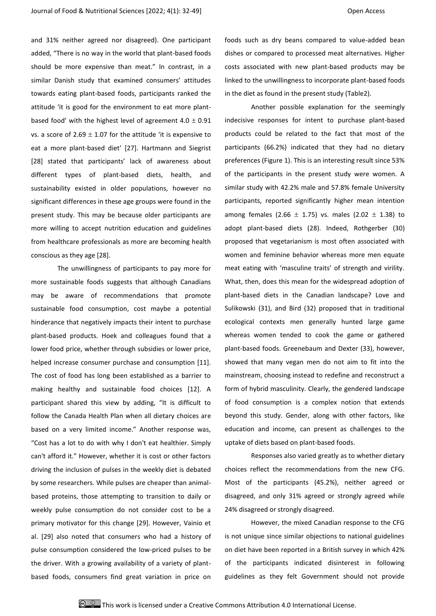and 31% neither agreed nor disagreed). One participant added, "There is no way in the world that plant-based foods should be more expensive than meat." In contrast, in a similar Danish study that examined consumers' attitudes towards eating plant-based foods, participants ranked the attitude 'it is good for the environment to eat more plantbased food' with the highest level of agreement  $4.0 \pm 0.91$ vs. a score of  $2.69 \pm 1.07$  for the attitude 'it is expensive to eat a more plant-based diet' [27]. Hartmann and Siegrist [28] stated that participants' lack of awareness about different types of plant-based diets, health, and sustainability existed in older populations, however no significant differences in these age groups were found in the present study. This may be because older participants are more willing to accept nutrition education and guidelines from healthcare professionals as more are becoming health conscious as they age [28].

The unwillingness of participants to pay more for more sustainable foods suggests that although Canadians may be aware of recommendations that promote sustainable food consumption, cost maybe a potential hinderance that negatively impacts their intent to purchase plant-based products. Hoek and colleagues found that a lower food price, whether through subsidies or lower price, helped increase consumer purchase and consumption [11]. The cost of food has long been established as a barrier to making healthy and sustainable food choices [12]. A participant shared this view by adding, "It is difficult to follow the Canada Health Plan when all dietary choices are based on a very limited income." Another response was, "Cost has a lot to do with why I don't eat healthier. Simply can't afford it." However, whether it is cost or other factors driving the inclusion of pulses in the weekly diet is debated by some researchers. While pulses are cheaper than animalbased proteins, those attempting to transition to daily or weekly pulse consumption do not consider cost to be a primary motivator for this change [29]. However, Vainio et al. [29] also noted that consumers who had a history of pulse consumption considered the low-priced pulses to be the driver. With a growing availability of a variety of plantbased foods, consumers find great variation in price on foods such as dry beans compared to value-added bean dishes or compared to processed meat alternatives. Higher costs associated with new plant-based products may be linked to the unwillingness to incorporate plant-based foods in the diet as found in the present study (Table2).

Another possible explanation for the seemingly indecisive responses for intent to purchase plant-based products could be related to the fact that most of the participants (66.2%) indicated that they had no dietary preferences (Figure 1). This is an interesting result since 53% of the participants in the present study were women. A similar study with 42.2% male and 57.8% female University participants, reported significantly higher mean intention among females (2.66  $\pm$  1.75) vs. males (2.02  $\pm$  1.38) to adopt plant-based diets (28). Indeed, Rothgerber (30) proposed that vegetarianism is most often associated with women and feminine behavior whereas more men equate meat eating with 'masculine traits' of strength and virility. What, then, does this mean for the widespread adoption of plant-based diets in the Canadian landscape? Love and Sulikowski (31), and Bird (32) proposed that in traditional ecological contexts men generally hunted large game whereas women tended to cook the game or gathered plant-based foods. Greenebaum and Dexter (33), however, showed that many vegan men do not aim to fit into the mainstream, choosing instead to redefine and reconstruct a form of hybrid masculinity. Clearly, the gendered landscape of food consumption is a complex notion that extends beyond this study. Gender, along with other factors, like education and income, can present as challenges to the uptake of diets based on plant-based foods.

Responses also varied greatly as to whether dietary choices reflect the recommendations from the new CFG. Most of the participants (45.2%), neither agreed or disagreed, and only 31% agreed or strongly agreed while 24% disagreed or strongly disagreed.

However, the mixed Canadian response to the CFG is not unique since similar objections to national guidelines on diet have been reported in a British survey in which 42% of the participants indicated disinterest in following guidelines as they felt Government should not provide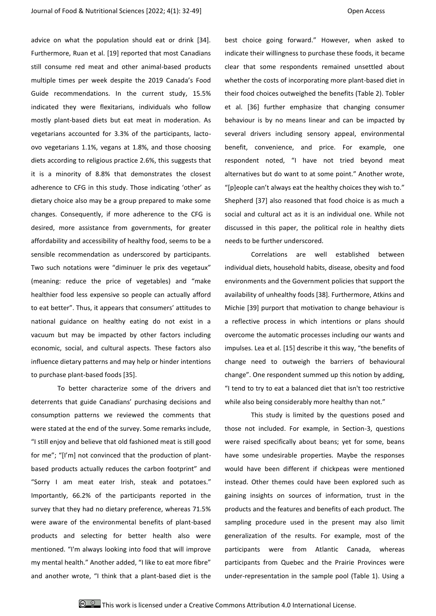advice on what the population should eat or drink [34]. Furthermore, Ruan et al. [19] reported that most Canadians still consume red meat and other animal-based products multiple times per week despite the 2019 Canada's Food Guide recommendations. In the current study, 15.5% indicated they were flexitarians, individuals who follow mostly plant-based diets but eat meat in moderation. As vegetarians accounted for 3.3% of the participants, lactoovo vegetarians 1.1%, vegans at 1.8%, and those choosing diets according to religious practice 2.6%, this suggests that it is a minority of 8.8% that demonstrates the closest adherence to CFG in this study. Those indicating 'other' as dietary choice also may be a group prepared to make some changes. Consequently, if more adherence to the CFG is desired, more assistance from governments, for greater affordability and accessibility of healthy food, seems to be a sensible recommendation as underscored by participants. Two such notations were "diminuer le prix des vegetaux" (meaning: reduce the price of vegetables) and "make healthier food less expensive so people can actually afford to eat better". Thus, it appears that consumers' attitudes to national guidance on healthy eating do not exist in a vacuum but may be impacted by other factors including economic, social, and cultural aspects. These factors also influence dietary patterns and may help or hinder intentions to purchase plant-based foods [35].

To better characterize some of the drivers and deterrents that guide Canadians' purchasing decisions and consumption patterns we reviewed the comments that were stated at the end of the survey. Some remarks include, "I still enjoy and believe that old fashioned meat is still good for me"; "[I'm] not convinced that the production of plantbased products actually reduces the carbon footprint" and "Sorry I am meat eater Irish, steak and potatoes." Importantly, 66.2% of the participants reported in the survey that they had no dietary preference, whereas 71.5% were aware of the environmental benefits of plant-based products and selecting for better health also were mentioned. "I'm always looking into food that will improve my mental health." Another added, "I like to eat more fibre" and another wrote, "I think that a plant-based diet is the best choice going forward." However, when asked to indicate their willingness to purchase these foods, it became clear that some respondents remained unsettled about whether the costs of incorporating more plant-based diet in their food choices outweighed the benefits (Table 2). Tobler et al. [36] further emphasize that changing consumer behaviour is by no means linear and can be impacted by several drivers including sensory appeal, environmental benefit, convenience, and price. For example, one respondent noted, "I have not tried beyond meat alternatives but do want to at some point." Another wrote, "[p]eople can't always eat the healthy choices they wish to." Shepherd [37] also reasoned that food choice is as much a social and cultural act as it is an individual one. While not discussed in this paper, the political role in healthy diets needs to be further underscored.

Correlations are well established between individual diets, household habits, disease, obesity and food environments and the Government policies that support the availability of unhealthy foods [38]. Furthermore, Atkins and Michie [39] purport that motivation to change behaviour is a reflective process in which intentions or plans should overcome the automatic processes including our wants and impulses. Lea et al. [15] describe it this way, "the benefits of change need to outweigh the barriers of behavioural change". One respondent summed up this notion by adding, "I tend to try to eat a balanced diet that isn't too restrictive while also being considerably more healthy than not."

This study is limited by the questions posed and those not included. For example, in Section-3, questions were raised specifically about beans; yet for some, beans have some undesirable properties. Maybe the responses would have been different if chickpeas were mentioned instead. Other themes could have been explored such as gaining insights on sources of information, trust in the products and the features and benefits of each product. The sampling procedure used in the present may also limit generalization of the results. For example, most of the participants were from Atlantic Canada, whereas participants from Quebec and the Prairie Provinces were under-representation in the sample pool (Table 1). Using a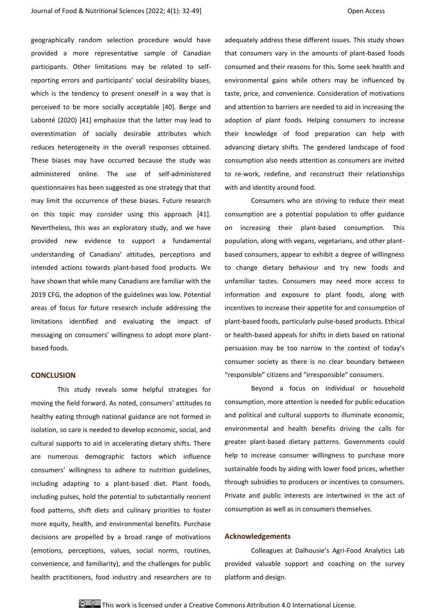geographically random selection procedure would have provided a more representative sample of Canadian participants. Other limitations may be related to selfreporting errors and participants' social desirability biases, which is the tendency to present oneself in a way that is perceived to be more socially acceptable [40]. Berge and Labonté (2020) [41] emphasize that the latter may lead to overestimation of socially desirable attributes which reduces heterogeneity in the overall responses obtained. These biases may have occurred because the study was administered online. The use of self-administered questionnaires has been suggested as one strategy that that may limit the occurrence of these biases. Future research on this topic may consider using this approach [41]. Nevertheless, this was an exploratory study, and we have provided new evidence to support a fundamental understanding of Canadians' attitudes, perceptions and intended actions towards plant-based food products. We have shown that while many Canadians are familiar with the 2019 CFG, the adoption of the guidelines was low. Potential areas of focus for future research include addressing the limitations identified and evaluating the impact of messaging on consumers' willingness to adopt more plantbased foods.

## **CONCLUSION**

This study reveals some helpful strategies for moving the field forward. As noted, consumers' attitudes to healthy eating through national guidance are not formed in isolation, so care is needed to develop economic, social, and cultural supports to aid in accelerating dietary shifts. There are numerous demographic factors which influence consumers' willingness to adhere to nutrition guidelines, including adapting to a plant-based diet. Plant foods, including pulses, hold the potential to substantially reorient food patterns, shift diets and culinary priorities to foster more equity, health, and environmental benefits. Purchase decisions are propelled by a broad range of motivations (emotions, perceptions, values, social norms, routines, convenience, and familiarity), and the challenges for public health practitioners, food industry and researchers are to adequately address these different issues. This study shows that consumers vary in the amounts of plant-based foods consumed and their reasons for this. Some seek health and environmental gains while others may be influenced by taste, price, and convenience. Consideration of motivations and attention to barriers are needed to aid in increasing the adoption of plant foods. Helping consumers to increase their knowledge of food preparation can help with advancing dietary shifts. The gendered landscape of food consumption also needs attention as consumers are invited to re-work, redefine, and reconstruct their relationships with and identity around food.

Consumers who are striving to reduce their meat consumption are a potential population to offer guidance on increasing their plant-based consumption. This population, along with vegans, vegetarians, and other plantbased consumers, appear to exhibit a degree of willingness to change dietary behaviour and try new foods and unfamiliar tastes. Consumers may need more access to information and exposure to plant foods, along with incentives to increase their appetite for and consumption of plant-based foods, particularly pulse-based products. Ethical or health-based appeals for shifts in diets based on rational persuasion may be too narrow in the context of today's consumer society as there is no clear boundary between "responsible" citizens and "irresponsible" consumers.

Beyond a focus on individual or household consumption, more attention is needed for public education and political and cultural supports to illuminate economic, environmental and health benefits driving the calls for greater plant-based dietary patterns. Governments could help to increase consumer willingness to purchase more sustainable foods by aiding with lower food prices, whether through subsidies to producers or incentives to consumers. Private and public interests are intertwined in the act of consumption as well as in consumers themselves.

#### **Acknowledgements**

Colleagues at Dalhousie's Agri-Food Analytics Lab provided valuable support and coaching on the survey platform and design.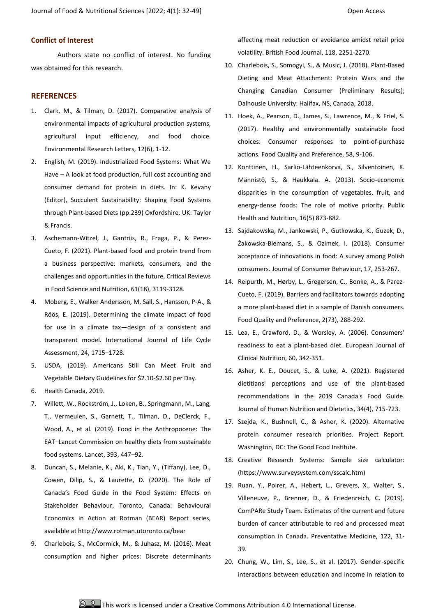## **Conflict of Interest**

Authors state no conflict of interest. No funding was obtained for this research.

### **REFERENCES**

- 1. Clark, M., & Tilman, D. (2017). Comparative analysis of environmental impacts of agricultural production systems, agricultural input efficiency, and food choice. Environmental Research Letters, 12(6), 1-12.
- 2. English, M. (2019). Industrialized Food Systems: What We Have – A look at food production, full cost accounting and consumer demand for protein in diets. In: K. Kevany (Editor), Succulent Sustainability: Shaping Food Systems through Plant-based Diets (pp.239) Oxfordshire, UK: Taylor & Francis.
- 3. Aschemann-Witzel, J., Gantriis, R., Fraga, P., & Perez-Cueto, F. (2021). Plant-based food and protein trend from a business perspective: markets, consumers, and the challenges and opportunities in the future, Critical Reviews in Food Science and Nutrition, 61(18), 3119-3128.
- 4. Moberg, E., Walker Andersson, M. Säll, S., Hansson, P-A., & Röös, E. (2019). Determining the climate impact of food for use in a climate tax—design of a consistent and transparent model. International Journal of Life Cycle Assessment, 24, 1715–1728.
- 5. USDA, (2019). Americans Still Can Meet Fruit and Vegetable Dietary Guidelines for \$2.10-\$2.60 per Day.
- 6. Health Canada, 2019.
- 7. Willett, W., Rockström, J., Loken, B., Springmann, M., Lang, T., Vermeulen, S., Garnett, T., Tilman, D., DeClerck, F., Wood, A., et al. (2019). Food in the Anthropocene: The EAT–Lancet Commission on healthy diets from sustainable food systems. Lancet, 393, 447–92.
- 8. Duncan, S., Melanie, K., Aki, K., Tian, Y., (Tiffany), Lee, D., Cowen, Dilip, S., & Laurette, D. (2020). The Role of Canada's Food Guide in the Food System: Effects on Stakeholder Behaviour, Toronto, Canada: Behavioural Economics in Action at Rotman (BEAR) Report series, available at http://www.rotman.utoronto.ca/bear
- 9. Charlebois, S., McCormick, M., & Juhasz, M. (2016). Meat consumption and higher prices: Discrete determinants

affecting meat reduction or avoidance amidst retail price volatility. British Food Journal, 118, 2251-2270.

- 10. Charlebois, S., Somogyi, S., & Music, J. (2018). Plant-Based Dieting and Meat Attachment: Protein Wars and the Changing Canadian Consumer (Preliminary Results); Dalhousie University: Halifax, NS, Canada, 2018.
- 11. Hoek, A., Pearson, D., James, S., Lawrence, M., & Friel, S. (2017). Healthy and environmentally sustainable food choices: Consumer responses to point‐of‐purchase actions. Food Quality and Preference, 58, 9-106.
- 12. Konttinen, H., Sarlio-Lähteenkorva, S., Silventoinen, K. Männistö, S., & Haukkala. A. (2013). Socio-economic disparities in the consumption of vegetables, fruit, and energy-dense foods: The role of motive priority. Public Health and Nutrition, 16(5) 873-882.
- 13. Sajdakowska, M., Jankowski, P., Gutkowska, K., Guzek, D., Żakowska-Biemans, S., & Ozimek, I. (2018). Consumer acceptance of innovations in food: A survey among Polish consumers. Journal of Consumer Behaviour, 17, 253-267.
- 14. Reipurth, M., Hørby, L., Gregersen, C., Bonke, A., & Parez-Cueto, F. (2019). Barriers and facilitators towards adopting a more plant-based diet in a sample of Danish consumers. Food Quality and Preference, 2(73), 288-292.
- 15. Lea, E., Crawford, D., & Worsley, A. (2006). Consumers' readiness to eat a plant-based diet. European Journal of Clinical Nutrition, 60, 342-351.
- 16. Asher, K. E., Doucet, S., & Luke, A. (2021). Registered dietitians' perceptions and use of the plant‐based recommendations in the 2019 Canada's Food Guide. Journal of Human Nutrition and Dietetics, 34(4), 715-723.
- 17. Szejda, K., Bushnell, C., & Asher, K. (2020). Alternative protein consumer research priorities. Project Report. Washington, DC: The Good Food Institute.
- 18. Creative Research Systems: Sample size calculator: (https://www.surveysystem.com/sscalc.htm)
- 19. Ruan, Y., Poirer, A., Hebert, L., Grevers, X., Walter, S., Villeneuve, P., Brenner, D., & Friedenreich, C. (2019). ComPARe Study Team. Estimates of the current and future burden of cancer attributable to red and processed meat consumption in Canada. Preventative Medicine, 122, 31- 39.
- 20. Chung, W., Lim, S., Lee, S., et al. (2017). Gender-specific interactions between education and income in relation to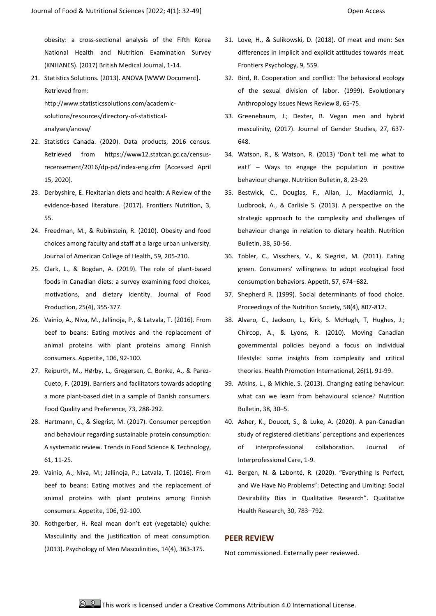obesity: a cross-sectional analysis of the Fifth Korea National Health and Nutrition Examination Survey (KNHANES). (2017) British Medical Journal, 1-14.

21. Statistics Solutions. (2013). ANOVA [WWW Document]. Retrieved from:

http://www.statisticssolutions.com/academicsolutions/resources/directory-of-statisticalanalyses/anova/

- 22. Statistics Canada. (2020). Data products, 2016 census. Retrieved from https://www12.statcan.gc.ca/censusrecensement/2016/dp-pd/index-eng.cfm [Accessed April 15, 2020].
- 23. Derbyshire, E. Flexitarian diets and health: A Review of the evidence-based literature. (2017). Frontiers Nutrition, 3, 55.
- 24. Freedman, M., & Rubinstein, R. (2010). Obesity and food choices among faculty and staff at a large urban university. Journal of American College of Health, 59, 205-210.
- 25. Clark, L., & Bogdan, A. (2019). The role of plant-based foods in Canadian diets: a survey examining food choices, motivations, and dietary identity. Journal of Food Production, 25(4), 355-377.
- 26. Vainio, A., Niva, M., Jallinoja, P., & Latvala, T. (2016). From beef to beans: Eating motives and the replacement of animal proteins with plant proteins among Finnish consumers. Appetite, 106, 92-100.
- 27. Reipurth, M., Hørby, L., Gregersen, C. Bonke, A., & Parez-Cueto, F. (2019). Barriers and facilitators towards adopting a more plant-based diet in a sample of Danish consumers. Food Quality and Preference, 73, 288-292.
- 28. Hartmann, C., & Siegrist, M. (2017). Consumer perception and behaviour regarding sustainable protein consumption: A systematic review. Trends in Food Science & Technology, 61, 11-25.
- 29. Vainio, A.; Niva, M.; Jallinoja, P.; Latvala, T. (2016). From beef to beans: Eating motives and the replacement of animal proteins with plant proteins among Finnish consumers. Appetite, 106, 92-100.
- 30. Rothgerber, H. Real mean don't eat (vegetable) quiche: Masculinity and the justification of meat consumption. (2013). Psychology of Men Masculinities, 14(4), 363-375.
- 31. Love, H., & Sulikowski, D. (2018). Of meat and men: Sex differences in implicit and explicit attitudes towards meat. Frontiers Psychology, 9, 559.
- 32. Bird, R. Cooperation and conflict: The behavioral ecology of the sexual division of labor. (1999). Evolutionary Anthropology Issues News Review 8, 65-75.
- 33. Greenebaum, J.; Dexter, B. Vegan men and hybrid masculinity, (2017). Journal of Gender Studies, 27, 637- 648.
- 34. Watson, R., & Watson, R. (2013) 'Don't tell me what to eat!' – Ways to engage the population in positive behaviour change. Nutrition Bulletin, 8, 23-29.
- 35. Bestwick, C., Douglas, F., Allan, J., Macdiarmid, J., Ludbrook, A., & Carlisle S. (2013). A perspective on the strategic approach to the complexity and challenges of behaviour change in relation to dietary health. Nutrition Bulletin, 38, 50-56.
- 36. Tobler, C., Visschers, V., & Siegrist, M. (2011). Eating green. Consumers' willingness to adopt ecological food consumption behaviors. Appetit, 57, 674–682.
- 37. Shepherd R. (1999). Social determinants of food choice. Proceedings of the Nutrition Society, 58(4), 807-812.
- 38. Alvaro, C., Jackson, L., Kirk, S. McHugh, T, Hughes, J.; Chircop, A., & Lyons, R. (2010). Moving Canadian governmental policies beyond a focus on individual lifestyle: some insights from complexity and critical theories. Health Promotion International, 26(1), 91-99.
- 39. Atkins, L., & Michie, S. (2013). Changing eating behaviour: what can we learn from behavioural science? Nutrition Bulletin, 38, 30–5.
- 40. Asher, K., Doucet, S., & Luke, A. (2020). A pan-Canadian study of registered dietitians' perceptions and experiences of interprofessional collaboration. Journal of Interprofessional Care, 1-9.
- 41. Bergen, N. & Labonté, R. (2020). "Everything Is Perfect, and We Have No Problems": Detecting and Limiting: Social Desirability Bias in Qualitative Research". Qualitative Health Research, 30, 783–792.

### **PEER REVIEW**

Not commissioned. Externally peer reviewed.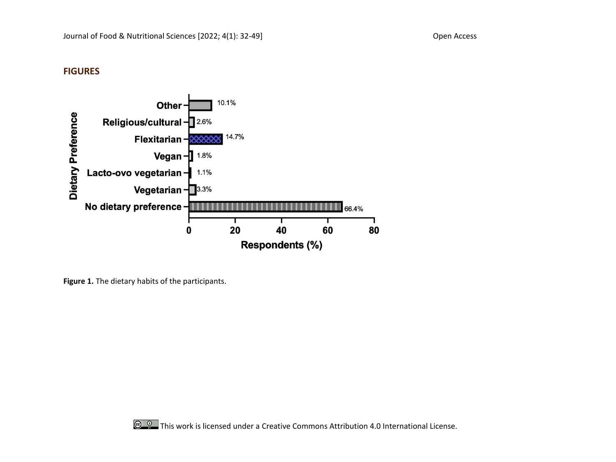# **FIGURES**



**Figure 1.** The dietary habits of the participants.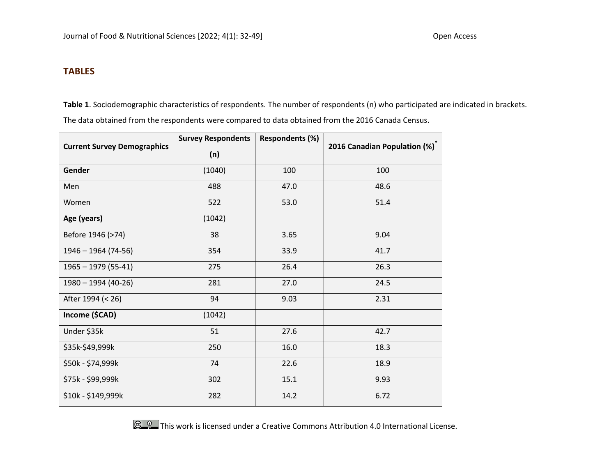## **TABLES**

**Table 1**. Sociodemographic characteristics of respondents. The number of respondents (n) who participated are indicated in brackets.

The data obtained from the respondents were compared to data obtained from the 2016 Canada Census.

|                                    | <b>Survey Respondents</b> | <b>Respondents (%)</b> | 2016 Canadian Population (%) |  |
|------------------------------------|---------------------------|------------------------|------------------------------|--|
| <b>Current Survey Demographics</b> | (n)                       |                        |                              |  |
| <b>Gender</b>                      | (1040)                    | 100                    | 100                          |  |
| Men                                | 488                       | 47.0                   | 48.6                         |  |
| Women                              | 522                       | 53.0                   | 51.4                         |  |
| Age (years)                        | (1042)                    |                        |                              |  |
| Before 1946 (>74)                  | 38                        | 3.65                   | 9.04                         |  |
| $1946 - 1964$ (74-56)              | 354                       | 33.9                   | 41.7                         |  |
| $1965 - 1979$ (55-41)              | 275                       | 26.4                   | 26.3                         |  |
| 1980 - 1994 (40-26)                | 281                       | 27.0                   | 24.5                         |  |
| After 1994 (< 26)                  | 94                        | 9.03                   | 2.31                         |  |
| Income (\$CAD)                     | (1042)                    |                        |                              |  |
| Under \$35k                        | 51                        | 27.6                   | 42.7                         |  |
| \$35k-\$49,999k                    | 250                       | 16.0                   | 18.3                         |  |
| \$50k - \$74,999k                  | 74                        | 22.6                   | 18.9                         |  |
| \$75k - \$99,999k                  | 302                       | 15.1                   | 9.93                         |  |
| \$10k - \$149,999k<br>282          |                           | 14.2                   | 6.72                         |  |



**C C C** This work is licensed under a Creative Commons Attribution 4.0 International License.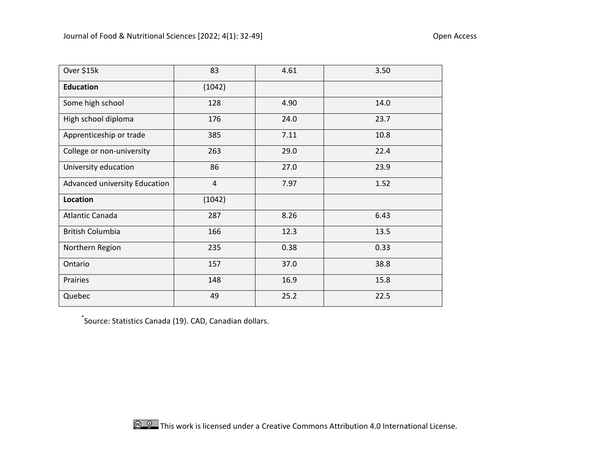| Over \$15k                    | 83             | 4.61 | 3.50 |
|-------------------------------|----------------|------|------|
| <b>Education</b>              | (1042)         |      |      |
| Some high school              | 128            | 4.90 | 14.0 |
| High school diploma           | 176            | 24.0 | 23.7 |
| Apprenticeship or trade       | 385            | 7.11 | 10.8 |
| College or non-university     | 263            | 29.0 | 22.4 |
| University education          | 86             | 27.0 | 23.9 |
| Advanced university Education | $\overline{4}$ | 7.97 | 1.52 |
| Location                      | (1042)         |      |      |
| Atlantic Canada               | 287            | 8.26 | 6.43 |
| <b>British Columbia</b>       | 166            | 12.3 | 13.5 |
| Northern Region<br>235        |                | 0.38 | 0.33 |
| Ontario                       | 157            | 37.0 | 38.8 |
| Prairies                      | 148            | 16.9 | 15.8 |
| Quebec                        | 49             | 25.2 | 22.5 |

\* Source: Statistics Canada (19). CAD, Canadian dollars.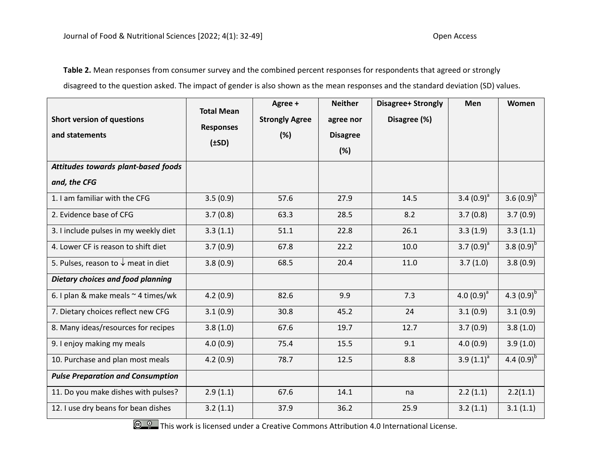**Table 2.** Mean responses from consumer survey and the combined percent responses for respondents that agreed or strongly disagreed to the question asked. The impact of gender is also shown as the mean responses and the standard deviation (SD) values.

|                                                | <b>Total Mean</b>              | Agree +               | <b>Neither</b>  | <b>Disagree+ Strongly</b> | <b>Men</b>      | Women           |
|------------------------------------------------|--------------------------------|-----------------------|-----------------|---------------------------|-----------------|-----------------|
| <b>Short version of questions</b>              | <b>Responses</b><br>$(\pm SD)$ | <b>Strongly Agree</b> | agree nor       | Disagree (%)              |                 |                 |
| and statements                                 |                                | (%)                   | <b>Disagree</b> |                           |                 |                 |
|                                                |                                |                       | (%)             |                           |                 |                 |
| Attitudes towards plant-based foods            |                                |                       |                 |                           |                 |                 |
| and, the CFG                                   |                                |                       |                 |                           |                 |                 |
| 1. I am familiar with the CFG                  | 3.5(0.9)                       | 57.6                  | 27.9            | 14.5                      | 3.4 $(0.9)^{a}$ | 3.6 $(0.9)^{b}$ |
| 2. Evidence base of CFG                        | 3.7(0.8)                       | 63.3                  | 28.5            | 8.2                       | 3.7(0.8)        | 3.7(0.9)        |
| 3. I include pulses in my weekly diet          | 3.3(1.1)                       | 51.1                  | 22.8            | 26.1                      | 3.3(1.9)        | 3.3(1.1)        |
| 4. Lower CF is reason to shift diet            | 3.7(0.9)                       | 67.8                  | 22.2            | 10.0                      | 3.7 $(0.9)^{a}$ | 3.8 $(0.9)^{b}$ |
| 5. Pulses, reason to $\downarrow$ meat in diet | 3.8(0.9)                       | 68.5                  | 20.4            | 11.0                      | 3.7(1.0)        | 3.8(0.9)        |
| Dietary choices and food planning              |                                |                       |                 |                           |                 |                 |
| 6. I plan & make meals $\sim$ 4 times/wk       | 4.2(0.9)                       | 82.6                  | 9.9             | 7.3                       | 4.0 $(0.9)^a$   | 4.3 $(0.9)^{b}$ |
| 7. Dietary choices reflect new CFG             | 3.1(0.9)                       | 30.8                  | 45.2            | 24                        | 3.1(0.9)        | 3.1(0.9)        |
| 8. Many ideas/resources for recipes            | 3.8(1.0)                       | 67.6                  | 19.7            | 12.7                      | 3.7(0.9)        | 3.8(1.0)        |
| 9. I enjoy making my meals                     | 4.0(0.9)                       | 75.4                  | 15.5            | 9.1                       | 4.0(0.9)        | 3.9(1.0)        |
| 10. Purchase and plan most meals               | 4.2(0.9)                       | 78.7                  | 12.5            | 8.8                       | 3.9 $(1.1)^{a}$ | 4.4 $(0.9)^{b}$ |
| <b>Pulse Preparation and Consumption</b>       |                                |                       |                 |                           |                 |                 |
| 11. Do you make dishes with pulses?            | 2.9(1.1)                       | 67.6                  | 14.1            | na                        | 2.2(1.1)        | 2.2(1.1)        |
| 12. I use dry beans for bean dishes            | 3.2(1.1)                       | 37.9                  | 36.2            | 25.9                      | 3.2(1.1)        | 3.1(1.1)        |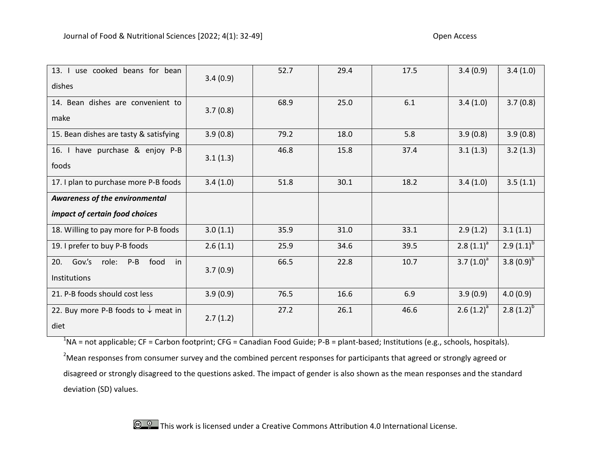| 13. I use cooked beans for bean<br>dishes                            | 3.4(0.9) | 52.7 | 29.4 | 17.5 | 3.4(0.9)       | 3.4(1.0)        |
|----------------------------------------------------------------------|----------|------|------|------|----------------|-----------------|
| 14. Bean dishes are convenient to<br>make                            | 3.7(0.8) | 68.9 | 25.0 | 6.1  | 3.4(1.0)       | 3.7(0.8)        |
| 15. Bean dishes are tasty & satisfying                               | 3.9(0.8) | 79.2 | 18.0 | 5.8  | 3.9(0.8)       | 3.9(0.8)        |
| 16. I have purchase & enjoy P-B<br>foods                             | 3.1(1.3) | 46.8 | 15.8 | 37.4 | 3.1(1.3)       | 3.2(1.3)        |
| 17. I plan to purchase more P-B foods                                | 3.4(1.0) | 51.8 | 30.1 | 18.2 | 3.4(1.0)       | 3.5(1.1)        |
| Awareness of the environmental<br>impact of certain food choices     |          |      |      |      |                |                 |
| 18. Willing to pay more for P-B foods                                | 3.0(1.1) | 35.9 | 31.0 | 33.1 | 2.9(1.2)       | 3.1(1.1)        |
| 19. I prefer to buy P-B foods                                        | 2.6(1.1) | 25.9 | 34.6 | 39.5 | $2.8(1.1)^{a}$ | $2.9(1.1)^{b}$  |
| Gov.'s<br>food<br>role:<br>$P-B$<br>20.<br>in<br><b>Institutions</b> | 3.7(0.9) | 66.5 | 22.8 | 10.7 | 3.7 $(1.0)^a$  | 3.8 $(0.9)^{b}$ |
| 21. P-B foods should cost less                                       | 3.9(0.9) | 76.5 | 16.6 | 6.9  | 3.9(0.9)       | 4.0(0.9)        |
| 22. Buy more P-B foods to $\downarrow$ meat in<br>diet               | 2.7(1.2) | 27.2 | 26.1 | 46.6 | $2.6(1.2)^{a}$ | 2.8 $(1.2)^{b}$ |

 $^1$ NA = not applicable; CF = Carbon footprint; CFG = Canadian Food Guide; P-B = plant-based; Institutions (e.g., schools, hospitals).

<sup>2</sup>Mean responses from consumer survey and the combined percent responses for participants that agreed or strongly agreed or disagreed or strongly disagreed to the questions asked. The impact of gender is also shown as the mean responses and the standard deviation (SD) values.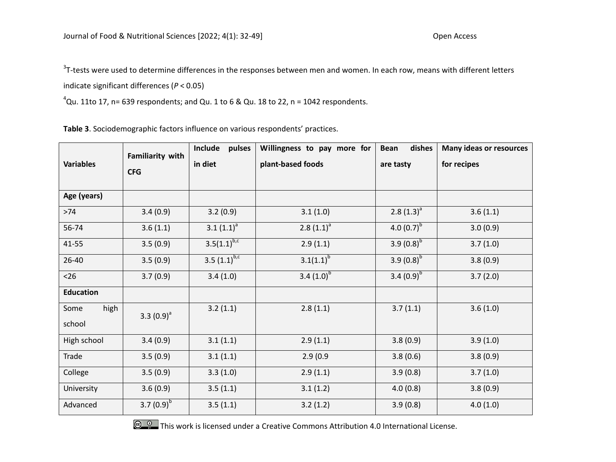$3$ T-tests were used to determine differences in the responses between men and women. In each row, means with different letters indicate significant differences (*P* < 0.05)

 ${}^4$ Qu. 11to 17, n= 639 respondents; and Qu. 1 to 6 & Qu. 18 to 22, n = 1042 respondents.

**Table 3**. Sociodemographic factors influence on various respondents' practices.

| Familiarity with<br><b>Variables</b><br><b>CFG</b> |                 | Include<br>pulses            | Willingness to pay more for | dishes<br><b>Bean</b> | <b>Many ideas or resources</b> |
|----------------------------------------------------|-----------------|------------------------------|-----------------------------|-----------------------|--------------------------------|
|                                                    |                 | in diet                      | plant-based foods           | are tasty             | for recipes                    |
| Age (years)                                        |                 |                              |                             |                       |                                |
| $>74$                                              | 3.4(0.9)        | 3.2(0.9)                     | 3.1(1.0)                    | $2.8(1.3)^{a}$        | 3.6(1.1)                       |
| 56-74                                              | 3.6(1.1)        | $3.1 (1.1)^a$                | $2.8(1.1)^a$                | 4.0 $(0.7)^{b}$       | 3.0(0.9)                       |
| 41-55                                              | 3.5(0.9)        | $3.5(1.1)^{b,c}$             | 2.9(1.1)                    | 3.9 $(0.8)^{b}$       | 3.7(1.0)                       |
| 26-40                                              | 3.5(0.9)        | $3.5 \overline{(1.1)^{b,c}}$ | $3.1(1.1)^{b}$              | 3.9 $(0.8)^{b}$       | 3.8(0.9)                       |
| $26$                                               | 3.7(0.9)        | 3.4(1.0)                     | 3.4 $(1.0)^{b}$             | 3.4 $(0.9)^{b}$       | 3.7(2.0)                       |
| <b>Education</b>                                   |                 |                              |                             |                       |                                |
| high<br>Some<br>school                             | 3.3 $(0.9)^a$   | 3.2(1.1)                     | 2.8(1.1)                    | 3.7(1.1)              | 3.6(1.0)                       |
| High school                                        | 3.4(0.9)        | 3.1(1.1)                     | 2.9(1.1)                    | 3.8(0.9)              | 3.9(1.0)                       |
| Trade                                              | 3.5(0.9)        | 3.1(1.1)                     | 2.9(0.9)                    | 3.8(0.6)              | 3.8(0.9)                       |
| College                                            | 3.5(0.9)        | 3.3(1.0)                     | 2.9(1.1)                    | 3.9(0.8)              | 3.7(1.0)                       |
| University                                         | 3.6(0.9)        | 3.5(1.1)                     | 3.1(1.2)                    | 4.0(0.8)              | 3.8(0.9)                       |
| Advanced                                           | 3.7 $(0.9)^{p}$ | 3.5(1.1)                     | 3.2(1.2)                    | 3.9(0.8)              | 4.0(1.0)                       |